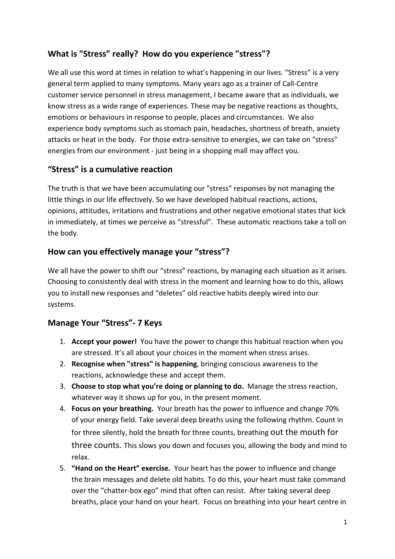## **What is "Stress" really? How do you experience "stress"?**

We all use this word at times in relation to what's happening in our lives. "Stress" is a very general term applied to many symptoms. Many years ago as a trainer of Call-Centre customer service personnel in stress management, I became aware that as individuals, we know stress as a wide range of experiences. These may be negative reactions as thoughts, emotions or behaviours in response to people, places and circumstances. We also experience body symptoms such as stomach pain, headaches, shortness of breath, anxiety attacks or heat in the body. For those extra-sensitive to energies, we can take on "stress" energies from our environment - just being in a shopping mall may affect you.

### **"Stress" is a cumulative reaction**

The truth is that we have been accumulating our "stress" responses by not managing the little things in our life effectively. So we have developed habitual reactions, actions, opinions, attitudes, irritations and frustrations and other negative emotional states that kick in immediately, at times we perceive as "stressful". These automatic reactions take a toll on the body.

### **How can you effectively manage your "stress"?**

We all have the power to shift our "stress" reactions, by managing each situation as it arises. Choosing to consistently deal with stress in the moment and learning how to do this, allows you to install new responses and "deletes" old reactive habits deeply wired into our systems.

## **Manage Your "Stress"- 7 Keys**

- 1. **Accept your power!** You have the power to change this habitual reaction when you are stressed. It's all about your choices in the moment when stress arises.
- 2. **Recognise when "stress" is happening**, bringing conscious awareness to the reactions, acknowledge these and accept them.
- 3. **Choose to stop what you're doing or planning to do.** Manage the stress reaction, whatever way it shows up for you, in the present moment.
- 4. **Focus on your breathing.** Your breath has the power to influence and change 70% of your energy field. Take several deep breaths using the following rhythm. Count in for three silently, hold the breath for three counts, breathing out the mouth for three counts. This slows you down and focuses you, allowing the body and mind to relax.
- 5. **"Hand on the Heart" exercise.** Your heart has the power to influence and change the brain messages and delete old habits. To do this, your heart must take command over the "chatter-box ego" mind that often can resist. After taking several deep breaths, place your hand on your heart. Focus on breathing into your heart centre in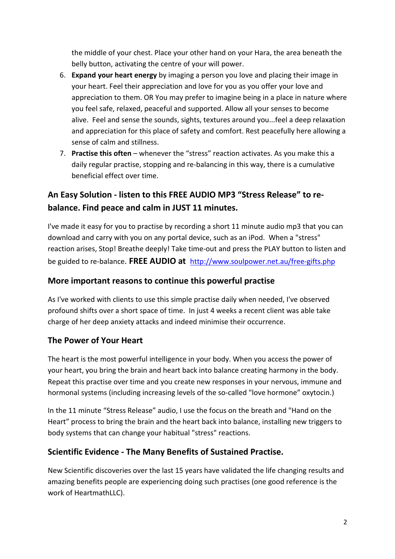the middle of your chest. Place your other hand on your Hara, the area beneath the belly button, activating the centre of your will power.

- 6. **Expand your heart energy** by imaging a person you love and placing their image in your heart. Feel their appreciation and love for you as you offer your love and appreciation to them. OR You may prefer to imagine being in a place in nature where you feel safe, relaxed, peaceful and supported. Allow all your senses to become alive. Feel and sense the sounds, sights, textures around you...feel a deep relaxation and appreciation for this place of safety and comfort. Rest peacefully here allowing a sense of calm and stillness.
- 7. **Practise this often** whenever the "stress" reaction activates. As you make this a daily regular practise, stopping and re-balancing in this way, there is a cumulative beneficial effect over time.

# **An Easy Solution - listen to this FREE AUDIO MP3 "Stress Release" to rebalance. Find peace and calm in JUST 11 minutes.**

I've made it easy for you to practise by recording a short 11 minute audio mp3 that you can download and carry with you on any portal device, such as an iPod. When a "stress" reaction arises, Stop! Breathe deeply! Take time-out and press the PLAY button to listen and be guided to re-balance. **FREE AUDIO at** http://www.soulpower.net.au/free-gifts.php

### **More important reasons to continue this powerful practise**

As I've worked with clients to use this simple practise daily when needed, I've observed profound shifts over a short space of time. In just 4 weeks a recent client was able take charge of her deep anxiety attacks and indeed minimise their occurrence.

### **The Power of Your Heart**

The heart is the most powerful intelligence in your body. When you access the power of your heart, you bring the brain and heart back into balance creating harmony in the body. Repeat this practise over time and you create new responses in your nervous, immune and hormonal systems (including increasing levels of the so-called "love hormone" oxytocin.)

In the 11 minute "Stress Release" audio, I use the focus on the breath and "Hand on the Heart" process to bring the brain and the heart back into balance, installing new triggers to body systems that can change your habitual "stress" reactions.

#### **Scientific Evidence - The Many Benefits of Sustained Practise.**

New Scientific discoveries over the last 15 years have validated the life changing results and amazing benefits people are experiencing doing such practises (one good reference is the work of HeartmathLLC).